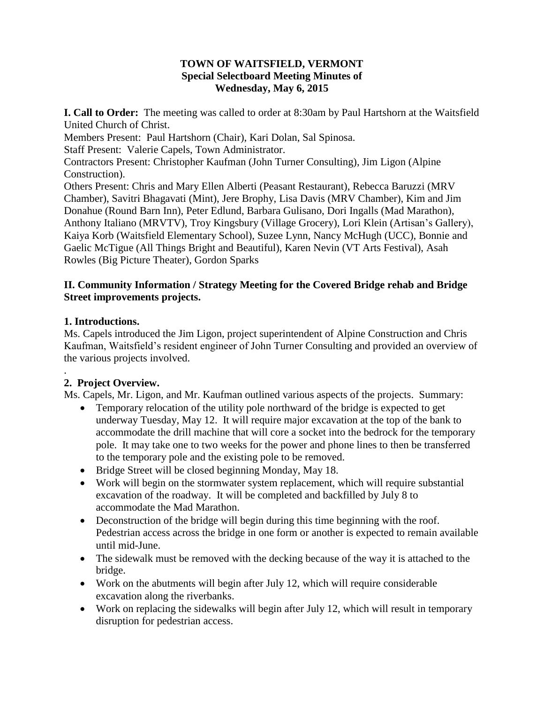## **TOWN OF WAITSFIELD, VERMONT Special Selectboard Meeting Minutes of Wednesday, May 6, 2015**

**I. Call to Order:** The meeting was called to order at 8:30am by Paul Hartshorn at the Waitsfield United Church of Christ. Members Present: Paul Hartshorn (Chair), Kari Dolan, Sal Spinosa. Staff Present: Valerie Capels, Town Administrator. Contractors Present: Christopher Kaufman (John Turner Consulting), Jim Ligon (Alpine Construction). Others Present: Chris and Mary Ellen Alberti (Peasant Restaurant), Rebecca Baruzzi (MRV Chamber), Savitri Bhagavati (Mint), Jere Brophy, Lisa Davis (MRV Chamber), Kim and Jim Donahue (Round Barn Inn), Peter Edlund, Barbara Gulisano, Dori Ingalls (Mad Marathon), Anthony Italiano (MRVTV), Troy Kingsbury (Village Grocery), Lori Klein (Artisan's Gallery), Kaiya Korb (Waitsfield Elementary School), Suzee Lynn, Nancy McHugh (UCC), Bonnie and Gaelic McTigue (All Things Bright and Beautiful), Karen Nevin (VT Arts Festival), Asah Rowles (Big Picture Theater), Gordon Sparks

## **II. Community Information / Strategy Meeting for the Covered Bridge rehab and Bridge Street improvements projects.**

### **1. Introductions.**

.

Ms. Capels introduced the Jim Ligon, project superintendent of Alpine Construction and Chris Kaufman, Waitsfield's resident engineer of John Turner Consulting and provided an overview of the various projects involved.

## **2. Project Overview.**

Ms. Capels, Mr. Ligon, and Mr. Kaufman outlined various aspects of the projects. Summary:

- Temporary relocation of the utility pole northward of the bridge is expected to get underway Tuesday, May 12. It will require major excavation at the top of the bank to accommodate the drill machine that will core a socket into the bedrock for the temporary pole. It may take one to two weeks for the power and phone lines to then be transferred to the temporary pole and the existing pole to be removed.
- Bridge Street will be closed beginning Monday, May 18.
- Work will begin on the stormwater system replacement, which will require substantial excavation of the roadway. It will be completed and backfilled by July 8 to accommodate the Mad Marathon.
- Deconstruction of the bridge will begin during this time beginning with the roof. Pedestrian access across the bridge in one form or another is expected to remain available until mid-June.
- The sidewalk must be removed with the decking because of the way it is attached to the bridge.
- Work on the abutments will begin after July 12, which will require considerable excavation along the riverbanks.
- Work on replacing the sidewalks will begin after July 12, which will result in temporary disruption for pedestrian access.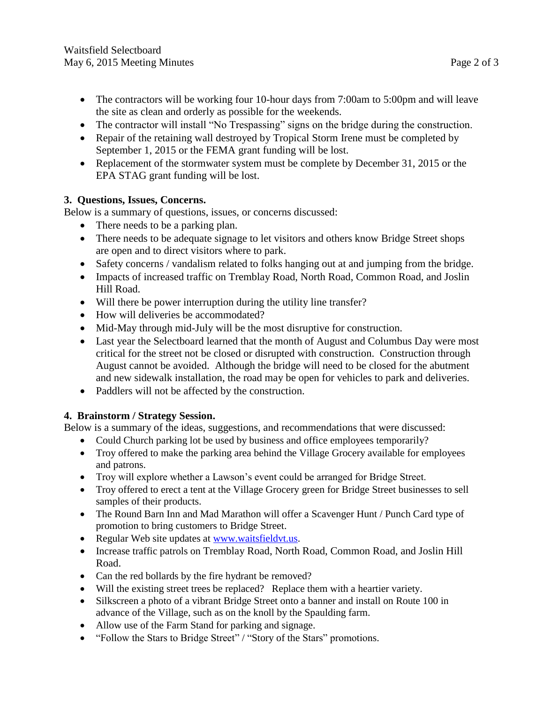- The contractors will be working four 10-hour days from 7:00am to 5:00pm and will leave the site as clean and orderly as possible for the weekends.
- The contractor will install "No Trespassing" signs on the bridge during the construction.
- Repair of the retaining wall destroyed by Tropical Storm Irene must be completed by September 1, 2015 or the FEMA grant funding will be lost.
- Replacement of the stormwater system must be complete by December 31, 2015 or the EPA STAG grant funding will be lost.

# **3. Questions, Issues, Concerns.**

Below is a summary of questions, issues, or concerns discussed:

- There needs to be a parking plan.
- There needs to be adequate signage to let visitors and others know Bridge Street shops are open and to direct visitors where to park.
- Safety concerns / vandalism related to folks hanging out at and jumping from the bridge.
- Impacts of increased traffic on Tremblay Road, North Road, Common Road, and Joslin Hill Road.
- Will there be power interruption during the utility line transfer?
- How will deliveries be accommodated?
- Mid-May through mid-July will be the most disruptive for construction.
- Last year the Selectboard learned that the month of August and Columbus Day were most critical for the street not be closed or disrupted with construction. Construction through August cannot be avoided. Although the bridge will need to be closed for the abutment and new sidewalk installation, the road may be open for vehicles to park and deliveries.
- Paddlers will not be affected by the construction.

# **4. Brainstorm / Strategy Session.**

Below is a summary of the ideas, suggestions, and recommendations that were discussed:

- Could Church parking lot be used by business and office employees temporarily?
- Troy offered to make the parking area behind the Village Grocery available for employees and patrons.
- Troy will explore whether a Lawson's event could be arranged for Bridge Street.
- Troy offered to erect a tent at the Village Grocery green for Bridge Street businesses to sell samples of their products.
- The Round Barn Inn and Mad Marathon will offer a Scavenger Hunt / Punch Card type of promotion to bring customers to Bridge Street.
- Regular Web site updates at [www.waitsfieldvt.us.](http://www.waitsfieldvt.us/)
- Increase traffic patrols on Tremblay Road, North Road, Common Road, and Joslin Hill Road.
- Can the red bollards by the fire hydrant be removed?
- Will the existing street trees be replaced? Replace them with a heartier variety.
- Silkscreen a photo of a vibrant Bridge Street onto a banner and install on Route 100 in advance of the Village, such as on the knoll by the Spaulding farm.
- Allow use of the Farm Stand for parking and signage.
- "Follow the Stars to Bridge Street" / "Story of the Stars" promotions.